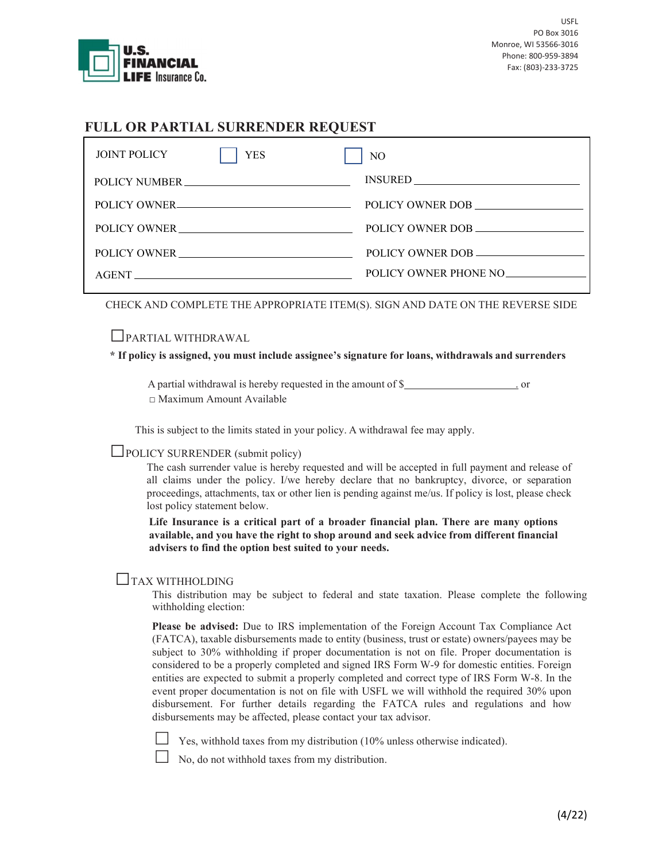

# FULL OR PARTIAL SURRENDER REQUEST

| <b>JOINT POLICY</b> | <b>YES</b>    | N <sub>O</sub>        |
|---------------------|---------------|-----------------------|
|                     | POLICY NUMBER |                       |
|                     | POLICY OWNER  | POLICY OWNER DOB      |
|                     | POLICY OWNER  | POLICY OWNER DOB      |
|                     |               | POLICY OWNER DOB      |
|                     | AGENT         | POLICY OWNER PHONE NO |

CHECK AND COMPLETE THE APPROPRIATE ITEM(S). SIGN AND DATE ON THE REVERSE SIDE

□PARTIAL WITHDRAWAL

#### \* If policy is assigned, you must include assignee's signature for loans, withdrawals and surrenders

A partial withdrawal is hereby requested in the amount of \$ □ Maximum Amount Available

This is subject to the limits stated in your policy. A withdrawal fee may apply.

## $\Box$ POLICY SURRENDER (submit policy)

The cash surrender value is hereby requested and will be accepted in full payment and release of all claims under the policy. I/we hereby declare that no bankruptcy, divorce, or separation proceedings, attachments, tax or other lien is pending against me/us. If policy is lost, please check lost policy statement below.

Life Insurance is a critical part of a broader financial plan. There are many options available, and you have the right to shop around and seek advice from different financial advisers to find the option best suited to your needs.

# □TAX WITHHOLDING

This distribution may be subject to federal and state taxation. Please complete the following withholding election:

Please be advised: Due to IRS implementation of the Foreign Account Tax Compliance Act (FATCA), taxable disbursements made to entity (business, trust or estate) owners/payees may be subject to 30% withholding if proper documentation is not on file. Proper documentation is considered to be a properly completed and signed IRS Form W-9 for domestic entities. Foreign entities are expected to submit a properly completed and correct type of IRS Form W-8. In the event proper documentation is not on file with USFL we will withhold the required 30% upon disbursement. For further details regarding the FATCA rules and regulations and how disbursements may be affected, please contact your tax advisor.

Yes, withhold taxes from my distribution (10% unless otherwise indicated).

No, do not withhold taxes from my distribution.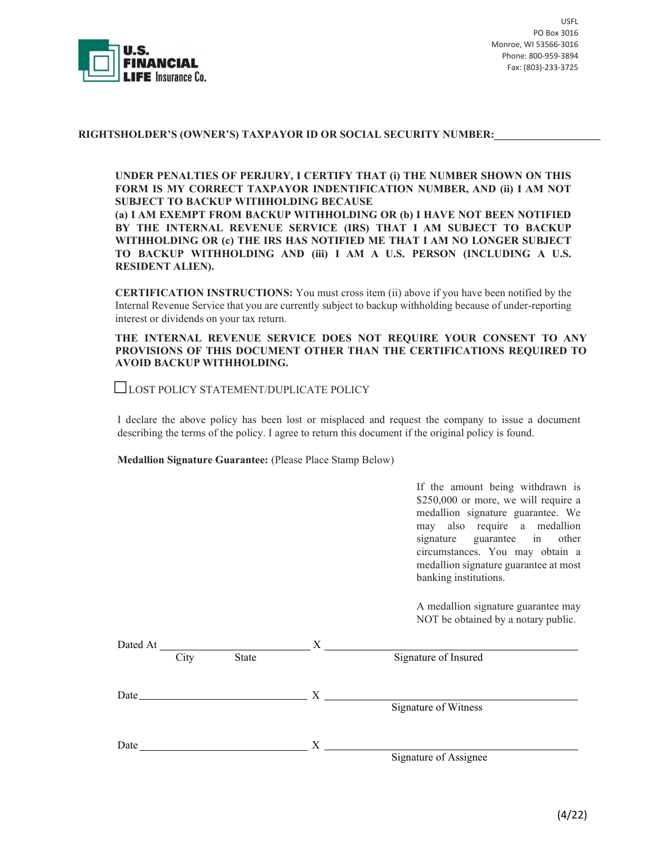

USFL PO Box 3016 Monroe, WI 53566-3016 Phone: 800-959-3894 Fax: (803)-233-3725

### RIGHTSHOLDER'S (OWNER'S) TAXPAYOR ID OR SOCIAL SECURITY NUMBER:

UNDER PENALTIES OF PERJURY, I CERTIFY THAT (i) THE NUMBER SHOWN ON THIS FORM IS MY CORRECT TAXPAYOR INDENTIFICATION NUMBER, AND (ii) I AM NOT SUBJECT TO BACKUP WITHHOLDING BECAUSE

(a) I AM EXEMPT FROM BACKUP WITHHOLDING OR (b) I HAVE NOT BEEN NOTIFIED BY THE INTERNAL REVENUE SERVICE (IRS) THAT I AM SUBJECT TO BACKUP WITHHOLDING OR (c) THE IRS HAS NOTIFIED ME THAT I AM NO LONGER SUBJECT TO BACKUP WITHHOLDING AND (iii) I AM A U.S. PERSON (INCLUDING A U.S. RESIDENT ALIEN).

CERTIFICATION INSTRUCTIONS: You must cross item (ii) above if you have been notified by the Internal Revenue Service that you are currently subject to backup withholding because of under-reporting interest or dividends on your tax return.

THE INTERNAL REVENUE SERVICE DOES NOT REQUIRE YOUR CONSENT TO ANY PROVISIONS OF THIS DOCUMENT OTHER THAN THE CERTIFICATIONS REQUIRED TO AVOID BACKUP WITHHOLDING.

□LOST POLICY STATEMENT/DUPLICATE POLICY

I declare the above policy has been lost or misplaced and request the company to issue a document describing the terms of the policy. I agree to return this document if the original policy is found.

Medallion Signature Guarantee: (Please Place Stamp Below)

 If the amount being withdrawn is \$250,000 or more, we will require a medallion signature guarantee. We may also require a medallion signature guarantee in other circumstances. You may obtain a medallion signature guarantee at most banking institutions.

A medallion signature guarantee may NOT be obtained by a notary public.

| Dated At |      |       |   |                       |
|----------|------|-------|---|-----------------------|
|          | City | State |   | Signature of Insured  |
| Date     |      |       | X |                       |
|          |      |       |   | Signature of Witness  |
| Date     |      |       | X |                       |
|          |      |       |   | Signature of Assignee |